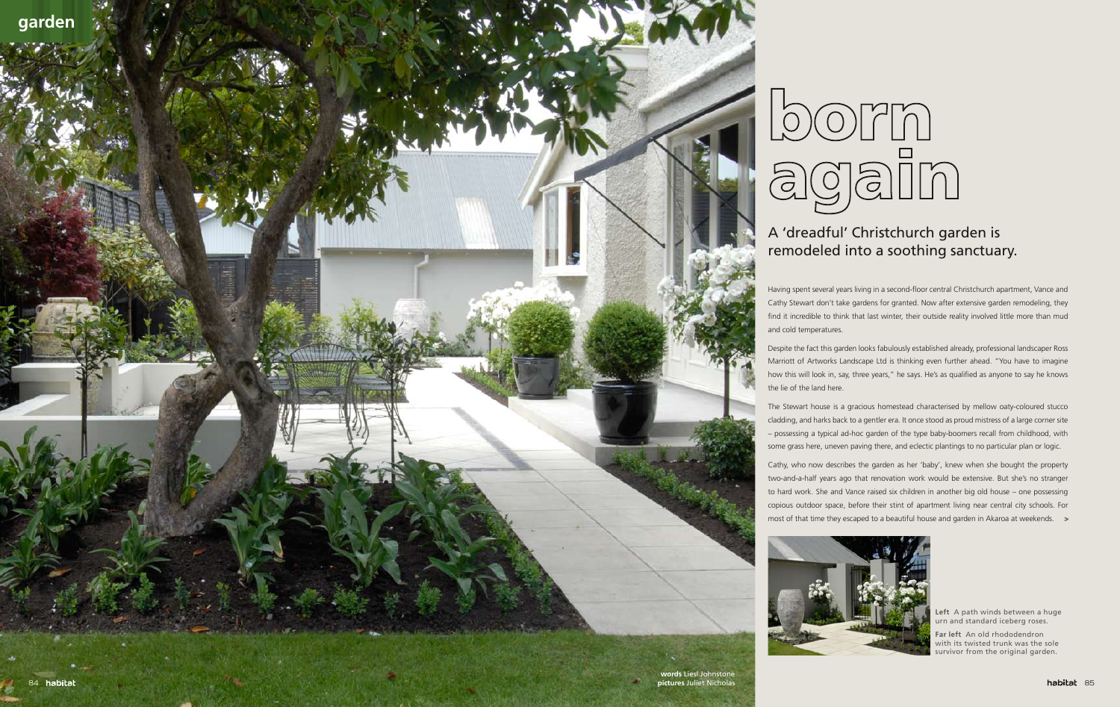# A 'dreadful' Christchurch garden is remodeled into a soothing sanctuary.

Having spent several years living in a second-floor central Christchurch apartment, Vance and Cathy Stewart don't take gardens for granted. Now after extensive garden remodeling, they find it incredible to think that last winter, their outside reality involved little more than mud

Despite the fact this garden looks fabulously established already, professional landscaper Ross Marriott of Artworks Landscape Ltd is thinking even further ahead. "You have to imagine how this will look in, say, three years," he says. He's as qualified as anyone to say he knows

most of that time they escaped to a beautiful house and garden in Akaroa at weekends.  $\rightarrow$ Cathy, who now describes the garden as her 'baby', knew when she bought the property two-and-a-half years ago that renovation work would be extensive. But she's no stranger to hard work. She and Vance raised six children in another big old house – one possessing copious outdoor space, before their stint of apartment living near central city schools. For







The Stewart house is a gracious homestead characterised by mellow oaty-coloured stucco cladding, and harks back to a gentler era. It once stood as proud mistress of a large corner site – possessing a typical ad-hoc garden of the type baby-boomers recall from childhood, with some grass here, uneven paving there, and eclectic plantings to no particular plan or logic.

> **Left** A path winds between a huge urn and standard iceberg roses.

**Far left** An old rhododendron with its twisted trunk was the sole survivor from the original garden.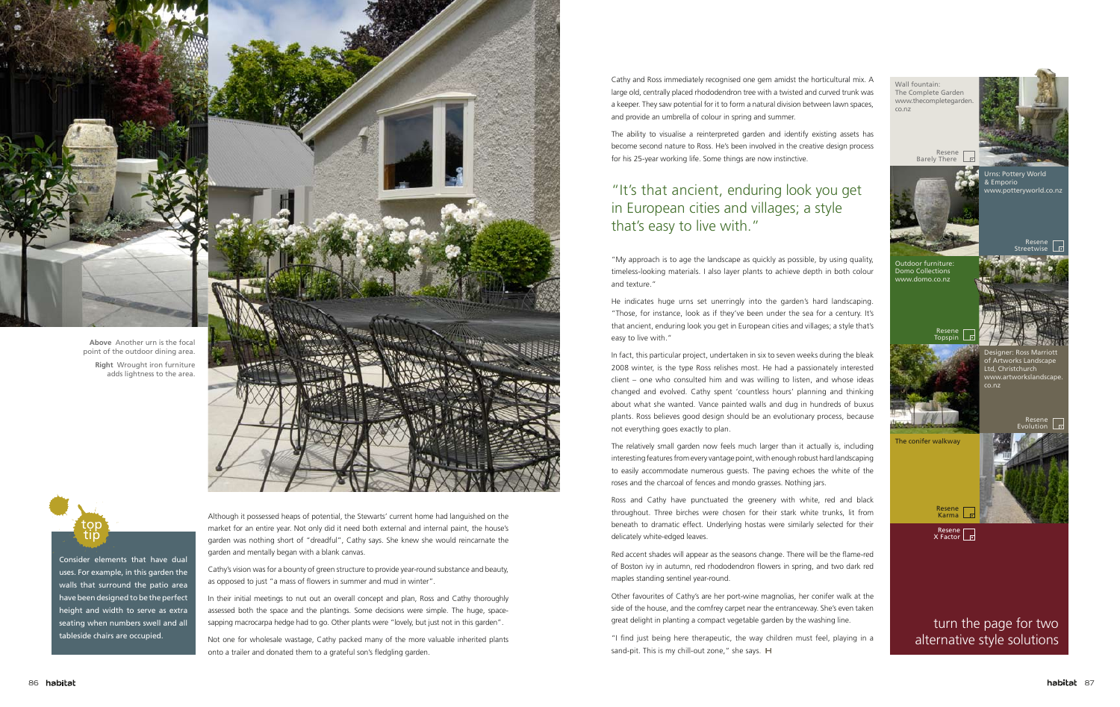Cathy and Ross immediately recognised one gem amidst the horticultural mix. A large old, centrally placed rhododendron tree with a twisted and curved trunk was a keeper. They saw potential for it to form a natural division between lawn spaces, and provide an umbrella of colour in spring and summer.

The ability to visualise a reinterpreted garden and identify existing assets has become second nature to Ross. He's been involved in the creative design process for his 25-year working life. Some things are now instinctive.

"My approach is to age the landscape as quickly as possible, by using quality, timeless-looking materials. I also layer plants to achieve depth in both colour and texture."

He indicates huge urns set unerringly into the garden's hard landscaping. "Those, for instance, look as if they've been under the sea for a century. It's that ancient, enduring look you get in European cities and villages; a style that's easy to live with."

"I find just being here therapeutic, the way children must feel, playing in a sand-pit. This is my chill-out zone," she says. H

In fact, this particular project, undertaken in six to seven weeks during the bleak 2008 winter, is the type Ross relishes most. He had a passionately interested client – one who consulted him and was willing to listen, and whose ideas changed and evolved. Cathy spent 'countless hours' planning and thinking about what she wanted. Vance painted walls and dug in hundreds of buxus plants. Ross believes good design should be an evolutionary process, because not everything goes exactly to plan.

In their initial meetings to nut out an overall concept and plan, Ross and Cathy thoroughly assessed both the space and the plantings. Some decisions were simple. The huge, spacesapping macrocarpa hedge had to go. Other plants were "lovely, but just not in this garden".

The relatively small garden now feels much larger than it actually is, including interesting features from every vantage point, with enough robust hard landscaping to easily accommodate numerous guests. The paving echoes the white of the roses and the charcoal of fences and mondo grasses. Nothing jars.

Ross and Cathy have punctuated the greenery with white, red and black throughout. Three birches were chosen for their stark white trunks, lit from beneath to dramatic effect. Underlying hostas were similarly selected for their delicately white-edged leaves.

Red accent shades will appear as the seasons change. There will be the flame-red of Boston ivy in autumn, red rhododendron flowers in spring, and two dark red maples standing sentinel year-round.



Other favourites of Cathy's are her port-wine magnolias, her conifer walk at the side of the house, and the comfrey carpet near the entranceway. She's even taken great delight in planting a compact vegetable garden by the washing line.

Although it possessed heaps of potential, the Stewarts' current home had languished on the market for an entire year. Not only did it need both external and internal paint, the house's garden was nothing short of "dreadful", Cathy says. She knew she would reincarnate the garden and mentally began with a blank canvas.

Cathy's vision was for a bounty of green structure to provide year-round substance and beauty, as opposed to just "a mass of flowers in summer and mud in winter".

Not one for wholesale wastage, Cathy packed many of the more valuable inherited plants onto a trailer and donated them to a grateful son's fledgling garden.

Consider elements that have dual uses. For example, in this garden the walls that surround the patio area have been designed to be the perfect height and width to serve as extra seating when numbers swell and all tableside chairs are occupied.

top tip

## "It's that ancient, enduring look you get in European cities and villages; a style that's easy to live with."



**Above** Another urn is the focal point of the outdoor dining area.

**Right** Wrought iron furniture adds lightness to the area.